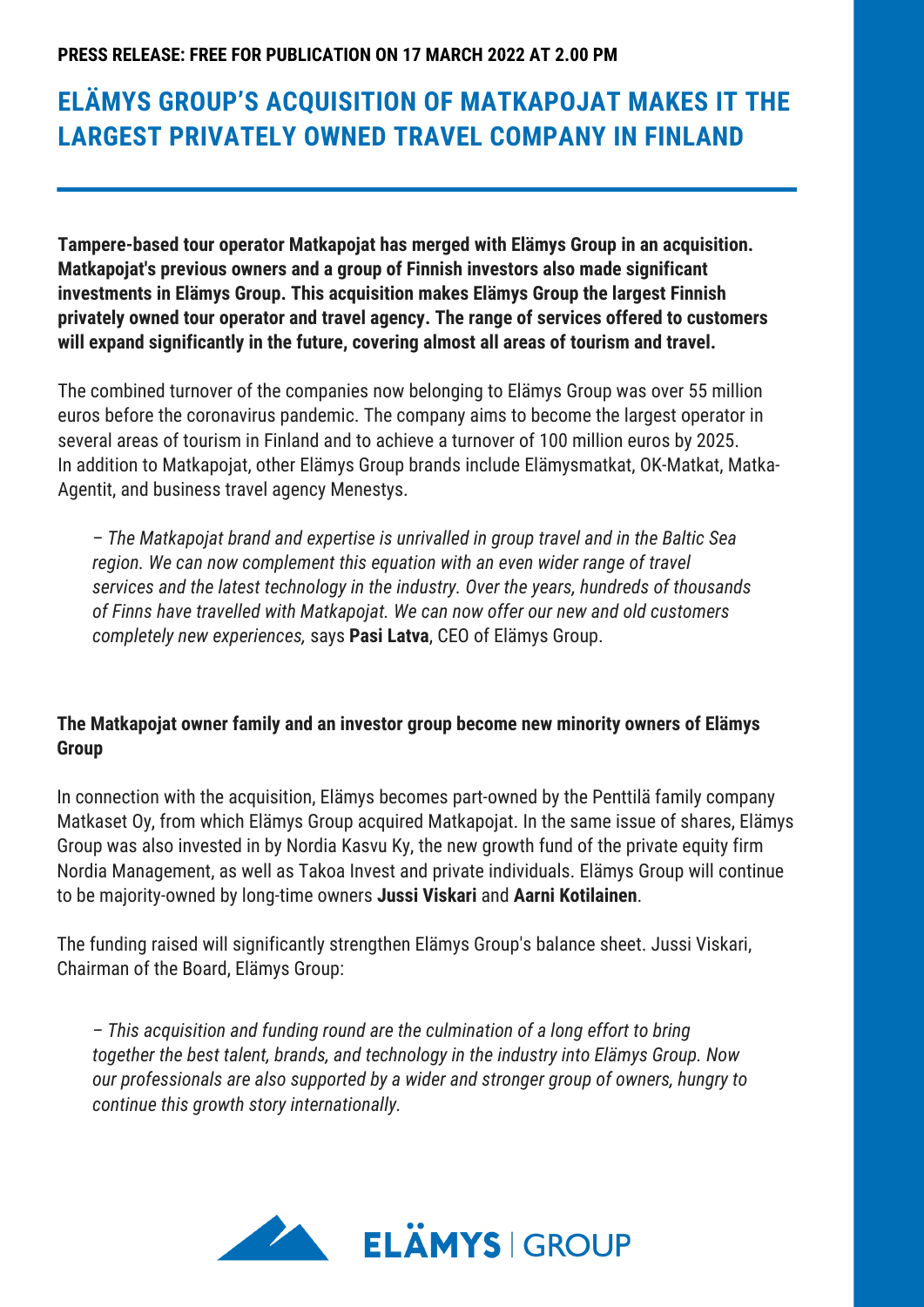## **ELÄMYS GROUP'S ACQUISITION OF MATKAPOJAT MAKES IT THE LARGEST PRIVATELY OWNED TRAVEL COMPANY IN FINLAND**

**Tampere-based tour operator Matkapojat has merged with Elämys Group in an acquisition. Matkapojat's previous owners and a group of Finnish investors also made significant investments in Elämys Group. This acquisition makes Elämys Group the largest Finnish privately owned tour operator and travel agency. The range of services offered to customers will expand significantly in the future, covering almost all areas of tourism and travel.**

The combined turnover of the companies now belonging to Elämys Group was over 55 million euros before the coronavirus pandemic. The company aims to become the largest operator in several areas of tourism in Finland and to achieve a turnover of 100 million euros by 2025. In addition to [Matkapojat,](https://www.matkapojat.fi/) other Elämys Group brands include Elämysmatkat, OK-Matkat, Matka-Agentit, and business travel agency Menestys.

*– The Matkapojat brand and expertise is unrivalled in group travel and in the Baltic Sea region. We can now complement this equation with an even wider range of travel services and the latest technology in the industry. Over the years, hundreds of thousands of Finns have travelled with Matkapojat. We can now offer our new and old customers completely new experiences,* says **Pasi Latva**, CEO of Elämys Group.

## **The Matkapojat owner family and an investor group become new minority owners of Elämys Group**

In connection with the acquisition, Elämys becomes part-owned by the Penttilä family company Matkaset Oy, from which Elämys Group acquired Matkapojat. In the same issue of shares, Elämys Group was also invested in by Nordia Kasvu Ky, the new growth fund of the private equity firm Nordia Management, as well as Takoa Invest and private individuals. Elämys Group will continue to be majority-owned by long-time owners **Jussi Viskari** and **Aarni Kotilainen**.

The funding raised will significantly strengthen Elämys Group's balance sheet. Jussi Viskari, Chairman of the Board, Elämys Group:

*– This acquisition and funding round are the culmination of a long effort to bring together the best talent, brands, and technology in the industry into Elämys Group. Now our professionals are also supported by a wider and stronger group of owners, hungry to continue this growth story internationally.*